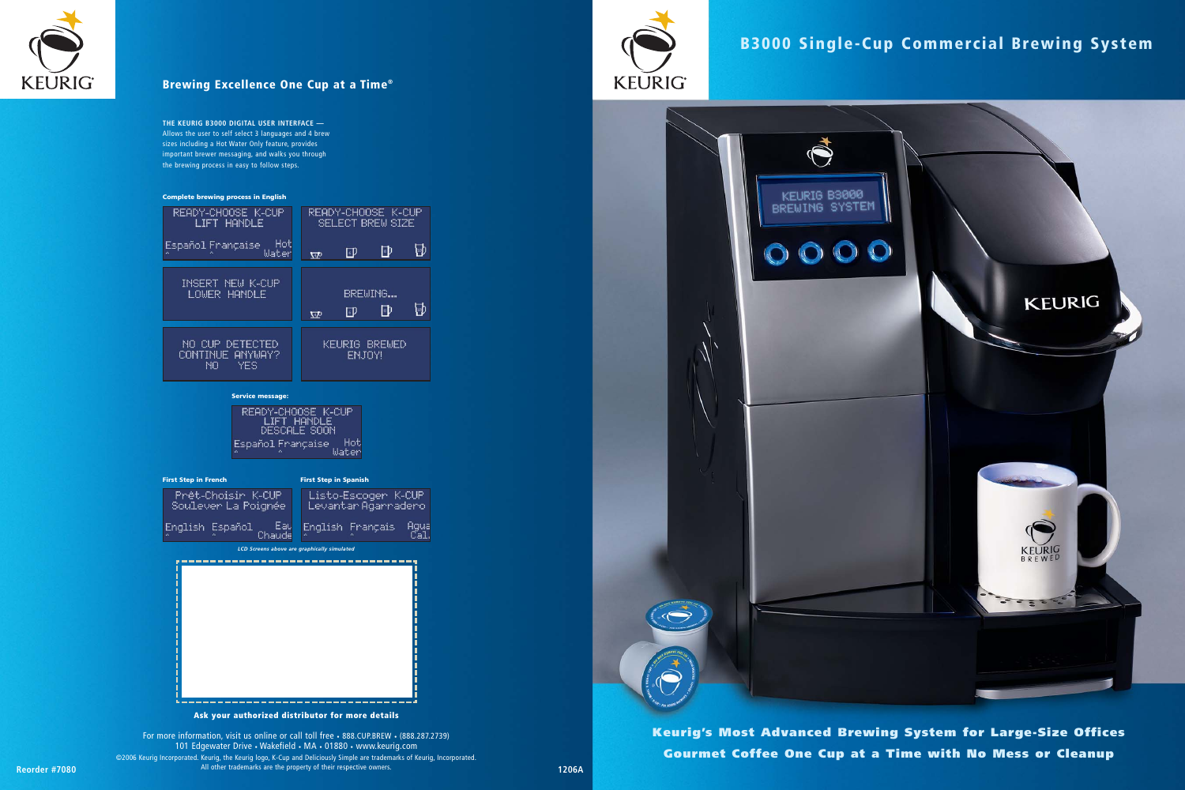For more information, visit us online or call toll free • 888.CUP.BREW • (888.287.2739) 101 Edgewater Drive • Wakefield • MA • 01880 • www.keurig.com ©2006 Keurig Incorporated. Keurig, the Keurig logo, K-Cup and Deliciously Simple are trademarks of Keurig, Incorporated.



All other trademarks are the property of their respective owners. **Reorder #7080 1206A**







### **Brewing Excellence One Cup at a Time®**

**Keurig's Most Advanced Brewing System for Large-Size Offices Gourmet Coffee One Cup at a Time with No Mess or Cleanup**

### **B3000 Single-Cup Commercial Brewing System**

**THE KEURIG B3000 DIGITAL USER INTERFACE —** Allows the user to self select 3 languages and 4 brew sizes including a Hot Water Only feature, provides important brewer messaging, and walks you through the brewing process in easy to follow steps.